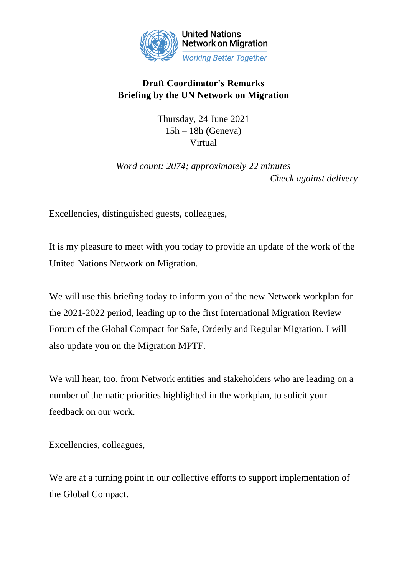

## **Draft Coordinator's Remarks Briefing by the UN Network on Migration**

Thursday, 24 June 2021  $15h - 18h$  (Geneva) Virtual

*Word count: 2074; approximately 22 minutes Check against delivery*

Excellencies, distinguished guests, colleagues,

It is my pleasure to meet with you today to provide an update of the work of the United Nations Network on Migration.

We will use this briefing today to inform you of the new Network workplan for the 2021-2022 period, leading up to the first International Migration Review Forum of the Global Compact for Safe, Orderly and Regular Migration. I will also update you on the Migration MPTF.

We will hear, too, from Network entities and stakeholders who are leading on a number of thematic priorities highlighted in the workplan, to solicit your feedback on our work.

Excellencies, colleagues,

We are at a turning point in our collective efforts to support implementation of the Global Compact.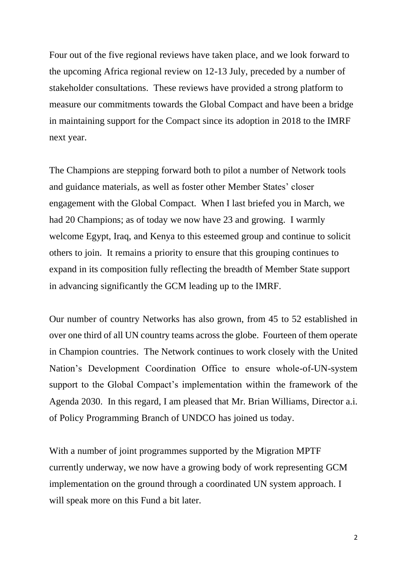Four out of the five regional reviews have taken place, and we look forward to the upcoming Africa regional review on 12-13 July, preceded by a number of stakeholder consultations. These reviews have provided a strong platform to measure our commitments towards the Global Compact and have been a bridge in maintaining support for the Compact since its adoption in 2018 to the IMRF next year.

The Champions are stepping forward both to pilot a number of Network tools and guidance materials, as well as foster other Member States' closer engagement with the Global Compact. When I last briefed you in March, we had 20 Champions; as of today we now have 23 and growing. I warmly welcome Egypt, Iraq, and Kenya to this esteemed group and continue to solicit others to join. It remains a priority to ensure that this grouping continues to expand in its composition fully reflecting the breadth of Member State support in advancing significantly the GCM leading up to the IMRF.

Our number of country Networks has also grown, from 45 to 52 established in over one third of all UN country teams across the globe. Fourteen of them operate in Champion countries. The Network continues to work closely with the United Nation's Development Coordination Office to ensure whole-of-UN-system support to the Global Compact's implementation within the framework of the Agenda 2030. In this regard, I am pleased that Mr. Brian Williams, Director a.i. of Policy Programming Branch of UNDCO has joined us today.

With a number of joint programmes supported by the Migration MPTF currently underway, we now have a growing body of work representing GCM implementation on the ground through a coordinated UN system approach. I will speak more on this Fund a bit later.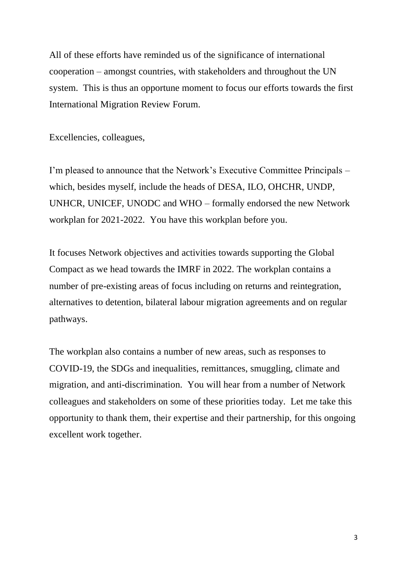All of these efforts have reminded us of the significance of international cooperation – amongst countries, with stakeholders and throughout the UN system. This is thus an opportune moment to focus our efforts towards the first International Migration Review Forum.

Excellencies, colleagues,

I'm pleased to announce that the Network's Executive Committee Principals – which, besides myself, include the heads of DESA, ILO, OHCHR, UNDP, UNHCR, UNICEF, UNODC and WHO – formally endorsed the new Network workplan for 2021-2022. You have this workplan before you.

It focuses Network objectives and activities towards supporting the Global Compact as we head towards the IMRF in 2022. The workplan contains a number of pre-existing areas of focus including on returns and reintegration, alternatives to detention, bilateral labour migration agreements and on regular pathways.

The workplan also contains a number of new areas, such as responses to COVID-19, the SDGs and inequalities, remittances, smuggling, climate and migration, and anti-discrimination. You will hear from a number of Network colleagues and stakeholders on some of these priorities today. Let me take this opportunity to thank them, their expertise and their partnership, for this ongoing excellent work together.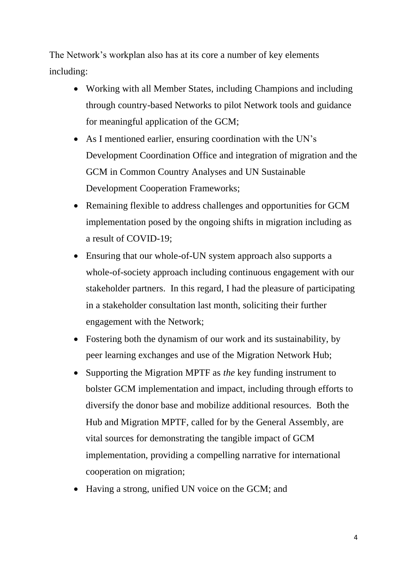The Network's workplan also has at its core a number of key elements including:

- Working with all Member States, including Champions and including through country-based Networks to pilot Network tools and guidance for meaningful application of the GCM;
- As I mentioned earlier, ensuring coordination with the UN's Development Coordination Office and integration of migration and the GCM in Common Country Analyses and UN Sustainable Development Cooperation Frameworks;
- Remaining flexible to address challenges and opportunities for GCM implementation posed by the ongoing shifts in migration including as a result of COVID-19;
- Ensuring that our whole-of-UN system approach also supports a whole-of-society approach including continuous engagement with our stakeholder partners. In this regard, I had the pleasure of participating in a stakeholder consultation last month, soliciting their further engagement with the Network;
- Fostering both the dynamism of our work and its sustainability, by peer learning exchanges and use of the Migration Network Hub;
- Supporting the Migration MPTF as *the* key funding instrument to bolster GCM implementation and impact, including through efforts to diversify the donor base and mobilize additional resources. Both the Hub and Migration MPTF, called for by the General Assembly, are vital sources for demonstrating the tangible impact of GCM implementation, providing a compelling narrative for international cooperation on migration;
- Having a strong, unified UN voice on the GCM; and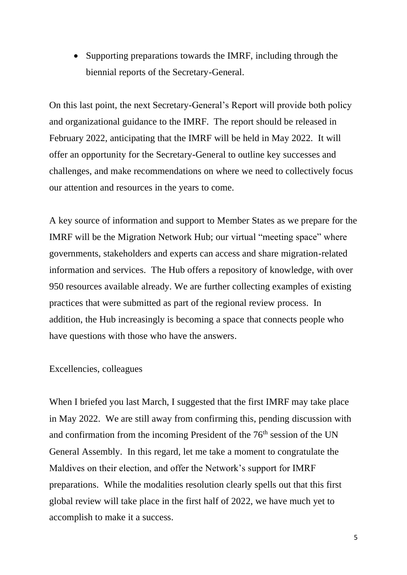• Supporting preparations towards the IMRF, including through the biennial reports of the Secretary-General.

On this last point, the next Secretary-General's Report will provide both policy and organizational guidance to the IMRF. The report should be released in February 2022, anticipating that the IMRF will be held in May 2022. It will offer an opportunity for the Secretary-General to outline key successes and challenges, and make recommendations on where we need to collectively focus our attention and resources in the years to come.

A key source of information and support to Member States as we prepare for the IMRF will be the Migration Network Hub; our virtual "meeting space" where governments, stakeholders and experts can access and share migration-related information and services. The Hub offers a repository of knowledge, with over 950 resources available already. We are further collecting examples of existing practices that were submitted as part of the regional review process. In addition, the Hub increasingly is becoming a space that connects people who have questions with those who have the answers.

## Excellencies, colleagues

When I briefed you last March, I suggested that the first IMRF may take place in May 2022. We are still away from confirming this, pending discussion with and confirmation from the incoming President of the  $76<sup>th</sup>$  session of the UN General Assembly. In this regard, let me take a moment to congratulate the Maldives on their election, and offer the Network's support for IMRF preparations. While the modalities resolution clearly spells out that this first global review will take place in the first half of 2022, we have much yet to accomplish to make it a success.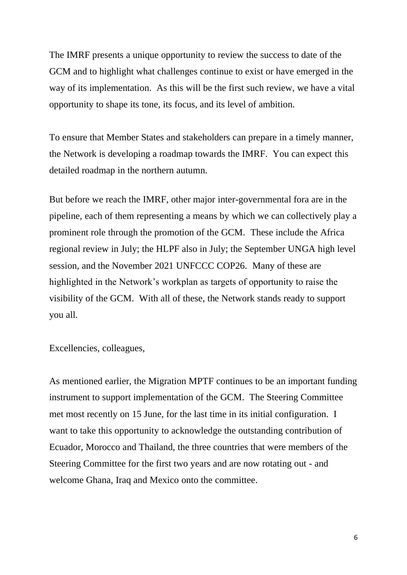The IMRF presents a unique opportunity to review the success to date of the GCM and to highlight what challenges continue to exist or have emerged in the way of its implementation. As this will be the first such review, we have a vital opportunity to shape its tone, its focus, and its level of ambition.

To ensure that Member States and stakeholders can prepare in a timely manner, the Network is developing a roadmap towards the IMRF. You can expect this detailed roadmap in the northern autumn.

But before we reach the IMRF, other major inter-governmental fora are in the pipeline, each of them representing a means by which we can collectively play a prominent role through the promotion of the GCM. These include the Africa regional review in July; the HLPF also in July; the September UNGA high level session, and the November 2021 UNFCCC COP26. Many of these are highlighted in the Network's workplan as targets of opportunity to raise the visibility of the GCM. With all of these, the Network stands ready to support you all.

Excellencies, colleagues,

As mentioned earlier, the Migration MPTF continues to be an important funding instrument to support implementation of the GCM. The Steering Committee met most recently on 15 June, for the last time in its initial configuration. I want to take this opportunity to acknowledge the outstanding contribution of Ecuador, Morocco and Thailand, the three countries that were members of the Steering Committee for the first two years and are now rotating out - and welcome Ghana, Iraq and Mexico onto the committee.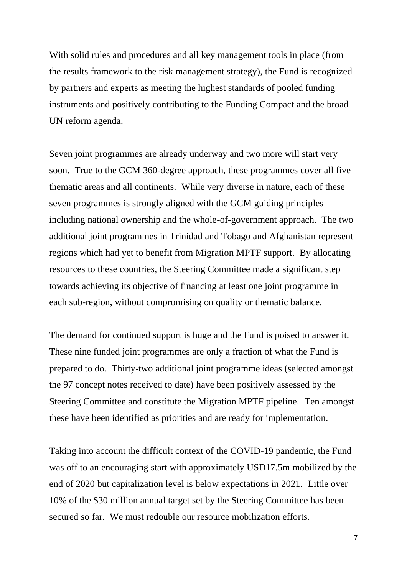With solid rules and procedures and all key management tools in place (from the results framework to the risk management strategy), the Fund is recognized by partners and experts as meeting the highest standards of pooled funding instruments and positively contributing to the Funding Compact and the broad UN reform agenda.

Seven joint programmes are already underway and two more will start very soon. True to the GCM 360-degree approach, these programmes cover all five thematic areas and all continents. While very diverse in nature, each of these seven programmes is strongly aligned with the GCM guiding principles including national ownership and the whole-of-government approach. The two additional joint programmes in Trinidad and Tobago and Afghanistan represent regions which had yet to benefit from Migration MPTF support. By allocating resources to these countries, the Steering Committee made a significant step towards achieving its objective of financing at least one joint programme in each sub-region, without compromising on quality or thematic balance.

The demand for continued support is huge and the Fund is poised to answer it. These nine funded joint programmes are only a fraction of what the Fund is prepared to do. Thirty-two additional joint programme ideas (selected amongst the 97 concept notes received to date) have been positively assessed by the Steering Committee and constitute the Migration MPTF pipeline. Ten amongst these have been identified as priorities and are ready for implementation.

Taking into account the difficult context of the COVID-19 pandemic, the Fund was off to an encouraging start with approximately USD17.5m mobilized by the end of 2020 but capitalization level is below expectations in 2021. Little over 10% of the \$30 million annual target set by the Steering Committee has been secured so far. We must redouble our resource mobilization efforts.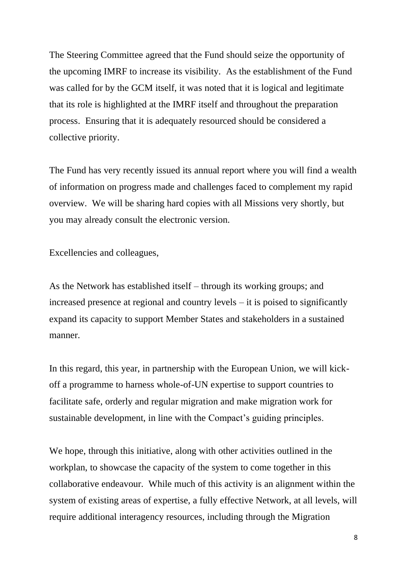The Steering Committee agreed that the Fund should seize the opportunity of the upcoming IMRF to increase its visibility. As the establishment of the Fund was called for by the GCM itself, it was noted that it is logical and legitimate that its role is highlighted at the IMRF itself and throughout the preparation process. Ensuring that it is adequately resourced should be considered a collective priority.

The Fund has very recently issued its annual report where you will find a wealth of information on progress made and challenges faced to complement my rapid overview. We will be sharing hard copies with all Missions very shortly, but you may already consult the electronic version.

Excellencies and colleagues,

As the Network has established itself – through its working groups; and increased presence at regional and country levels – it is poised to significantly expand its capacity to support Member States and stakeholders in a sustained manner.

In this regard, this year, in partnership with the European Union, we will kickoff a programme to harness whole-of-UN expertise to support countries to facilitate safe, orderly and regular migration and make migration work for sustainable development, in line with the Compact's guiding principles.

We hope, through this initiative, along with other activities outlined in the workplan, to showcase the capacity of the system to come together in this collaborative endeavour. While much of this activity is an alignment within the system of existing areas of expertise, a fully effective Network, at all levels, will require additional interagency resources, including through the Migration